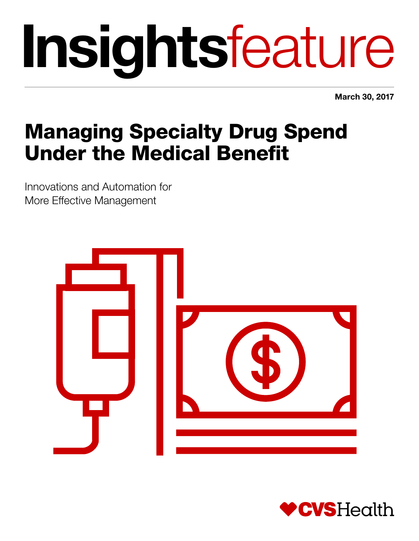# Insightsfeature

March 30, 2017

# Managing Specialty Drug Spend Under the Medical Benefit

Innovations and Automation for More Effective Management



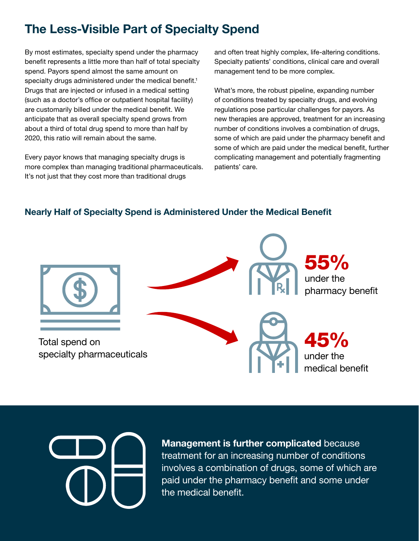## The Less-Visible Part of Specialty Spend

By most estimates, specialty spend under the pharmacy benefit represents a little more than half of total specialty spend. Payors spend almost the same amount on specialty drugs administered under the medical benefit.<sup>1</sup> Drugs that are injected or infused in a medical setting (such as a doctor's office or outpatient hospital facility) are customarily billed under the medical benefit. We anticipate that as overall specialty spend grows from about a third of total drug spend to more than half by 2020, this ratio will remain about the same.

Every payor knows that managing specialty drugs is more complex than managing traditional pharmaceuticals. It's not just that they cost more than traditional drugs

and often treat highly complex, life-altering conditions. Specialty patients' conditions, clinical care and overall management tend to be more complex.

What's more, the robust pipeline, expanding number of conditions treated by specialty drugs, and evolving regulations pose particular challenges for payors. As new therapies are approved, treatment for an increasing number of conditions involves a combination of drugs, some of which are paid under the pharmacy benefit and some of which are paid under the medical benefit, further complicating management and potentially fragmenting patients' care.

#### Nearly Half of Specialty Spend is Administered Under the Medical Benefit





Management is further complicated because treatment for an increasing number of conditions involves a combination of drugs, some of which are paid under the pharmacy benefit and some under the medical benefit.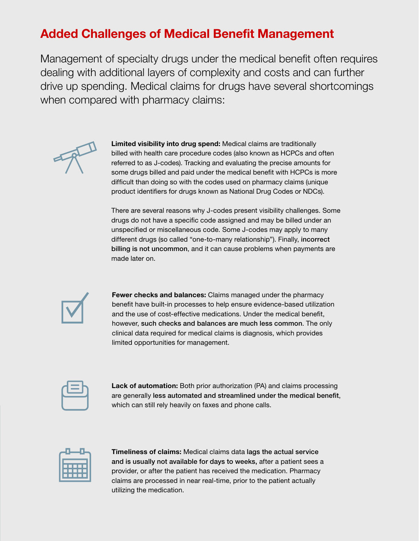# Added Challenges of Medical Benefit Management

Management of specialty drugs under the medical benefit often requires dealing with additional layers of complexity and costs and can further drive up spending. Medical claims for drugs have several shortcomings when compared with pharmacy claims:



Limited visibility into drug spend: Medical claims are traditionally billed with health care procedure codes (also known as HCPCs and often referred to as J-codes). Tracking and evaluating the precise amounts for some drugs billed and paid under the medical benefit with HCPCs is more difficult than doing so with the codes used on pharmacy claims (unique product identifiers for drugs known as National Drug Codes or NDCs).

There are several reasons why J-codes present visibility challenges. Some drugs do not have a specific code assigned and may be billed under an unspecified or miscellaneous code. Some J-codes may apply to many different drugs (so called "one-to-many relationship"). Finally, incorrect billing is not uncommon, and it can cause problems when payments are made later on.



Fewer checks and balances: Claims managed under the pharmacy benefit have built-in processes to help ensure evidence-based utilization and the use of cost-effective medications. Under the medical benefit, however, such checks and balances are much less common. The only clinical data required for medical claims is diagnosis, which provides limited opportunities for management.

Lack of automation: Both prior authorization (PA) and claims processing are generally less automated and streamlined under the medical benefit, which can still rely heavily on faxes and phone calls.



Timeliness of claims: Medical claims data lags the actual service and is usually not available for days to weeks, after a patient sees a provider, or after the patient has received the medication. Pharmacy claims are processed in near real-time, prior to the patient actually utilizing the medication.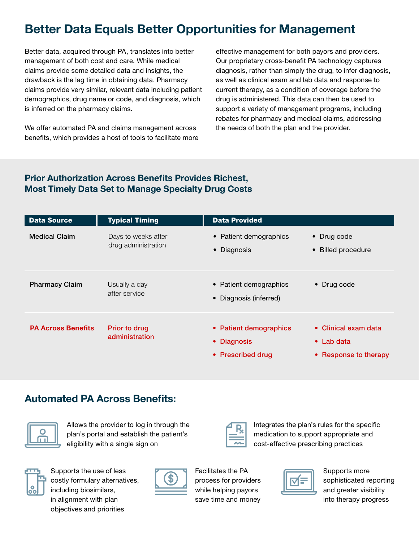# Better Data Equals Better Opportunities for Management

Better data, acquired through PA, translates into better management of both cost and care. While medical claims provide some detailed data and insights, the drawback is the lag time in obtaining data. Pharmacy claims provide very similar, relevant data including patient demographics, drug name or code, and diagnosis, which is inferred on the pharmacy claims.

We offer automated PA and claims management across benefits, which provides a host of tools to facilitate more

effective management for both payors and providers. Our proprietary cross-benefit PA technology captures diagnosis, rather than simply the drug, to infer diagnosis, as well as clinical exam and lab data and response to current therapy, as a condition of coverage before the drug is administered. This data can then be used to support a variety of management programs, including rebates for pharmacy and medical claims, addressing the needs of both the plan and the provider.

#### Prior Authorization Across Benefits Provides Richest, Most Timely Data Set to Manage Specialty Drug Costs

| <b>Data Source</b>        | <b>Typical Timing</b>                      | <b>Data Provided</b>                                                         |                                                                     |
|---------------------------|--------------------------------------------|------------------------------------------------------------------------------|---------------------------------------------------------------------|
| <b>Medical Claim</b>      | Days to weeks after<br>drug administration | • Patient demographics<br>• Diagnosis                                        | • Drug code<br>• Billed procedure                                   |
| <b>Pharmacy Claim</b>     | Usually a day<br>after service             | • Patient demographics<br>• Diagnosis (inferred)                             | • Drug code                                                         |
| <b>PA Across Benefits</b> | Prior to drug<br>administration            | • Patient demographics<br><b>Diagnosis</b><br>$\bullet$<br>• Prescribed drug | • Clinical exam data<br>$\bullet$ Lab data<br>• Response to therapy |

#### Automated PA Across Benefits:



Allows the provider to log in through the plan's portal and establish the patient's eligibility with a single sign on



Supports the use of less costly formulary alternatives, including biosimilars, in alignment with plan objectives and priorities



Facilitates the PA process for providers while helping payors save time and money



Integrates the plan's rules for the specific medication to support appropriate and cost-effective prescribing practices



Supports more sophisticated reporting and greater visibility into therapy progress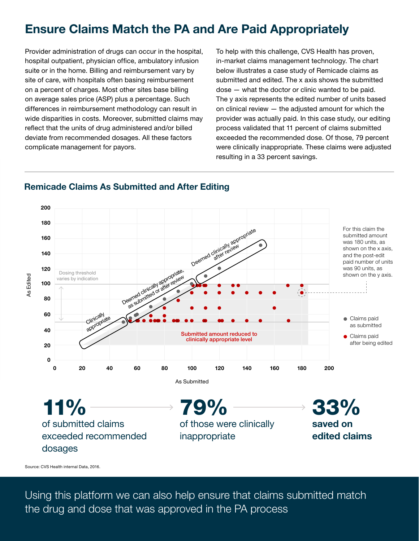### Ensure Claims Match the PA and Are Paid Appropriately

Provider administration of drugs can occur in the hospital, hospital outpatient, physician office, ambulatory infusion suite or in the home. Billing and reimbursement vary by site of care, with hospitals often basing reimbursement on a percent of charges. Most other sites base billing on average sales price (ASP) plus a percentage. Such differences in reimbursement methodology can result in wide disparities in costs. Moreover, submitted claims may reflect that the units of drug administered and/or billed deviate from recommended dosages. All these factors complicate management for payors.

To help with this challenge, CVS Health has proven, in-market claims management technology. The chart below illustrates a case study of Remicade claims as submitted and edited. The x axis shows the submitted dose — what the doctor or clinic wanted to be paid. The y axis represents the edited number of units based on clinical review — the adjusted amount for which the provider was actually paid. In this case study, our editing process validated that 11 percent of claims submitted exceeded the recommended dose. Of those, 79 percent were clinically inappropriate. These claims were adjusted resulting in a 33 percent savings.



#### Remicade Claims As Submitted and After Editing

Source: CVS Health internal Data, 2016.

Using this platform we can also help ensure that claims submitted match the drug and dose that was approved in the PA process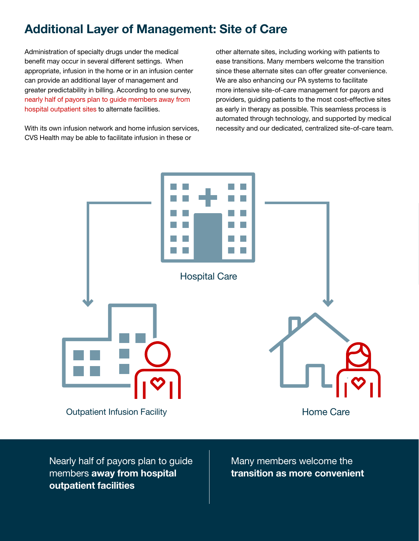## Additional Layer of Management: Site of Care

Administration of specialty drugs under the medical benefit may occur in several different settings. When appropriate, infusion in the home or in an infusion center can provide an additional layer of management and greater predictability in billing. According to one survey, [nearly half of payors plan to guide members away](http://specialtydigest.emdserono.com/digest.aspx) from [hospital outpatient sites](http://specialtydigest.emdserono.com/digest.aspx) to alternate facilities.

With its own infusion network and home infusion services, CVS Health may be able to facilitate infusion in these or

other alternate sites, including working with patients to ease transitions. Many members welcome the transition since these alternate sites can offer greater convenience. We are also enhancing our PA systems to facilitate more intensive site-of-care management for payors and providers, guiding patients to the most cost-effective sites as early in therapy as possible. This seamless process is automated through technology, and supported by medical necessity and our dedicated, centralized site-of-care team.



Nearly half of payors plan to guide members away from hospital outpatient facilities

Many members welcome the transition as more convenient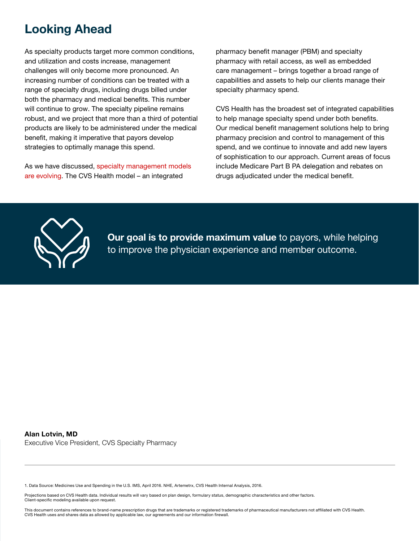#### Looking Ahead

As specialty products target more common conditions, and utilization and costs increase, management challenges will only become more pronounced. An increasing number of conditions can be treated with a range of specialty drugs, including drugs billed under both the pharmacy and medical benefits. This number will continue to grow. The specialty pipeline remains robust, and we project that more than a third of potential products are likely to be administered under the medical benefit, making it imperative that payors develop strategies to optimally manage this spend.

As we have discussed, [specialty management models](http://insights.cvshealth.com/the-evolution-of-specialty-management) [are evolving.](http://insights.cvshealth.com/the-evolution-of-specialty-management) The CVS Health model – an integrated

pharmacy benefit manager (PBM) and specialty pharmacy with retail access, as well as embedded care management – brings together a broad range of capabilities and assets to help our clients manage their specialty pharmacy spend.

CVS Health has the broadest set of integrated capabilities to help manage specialty spend under both benefits. Our medical benefit management solutions help to bring pharmacy precision and control to management of this spend, and we continue to innovate and add new layers of sophistication to our approach. Current areas of focus include Medicare Part B PA delegation and rebates on drugs adjudicated under the medical benefit.



Our goal is to provide maximum value to payors, while helping to improve the physician experience and member outcome.

#### Alan Lotvin, MD

Executive Vice President, CVS Specialty Pharmacy

1. Data Source: Medicines Use and Spending in the U.S. IMS, April 2016. NHE, Artemetrx, CVS Health Internal Analysis, 2016.

Projections based on CVS Health data. Individual results will vary based on plan design, formulary status, demographic characteristics and other factors. Client-specific modeling available upon request.

This document contains references to brand-name prescription drugs that are trademarks or registered trademarks of pharmaceutical manufacturers not affiliated with CVS Health. CVS Health uses and shares data as allowed by applicable law, our agreements and our information firewall.